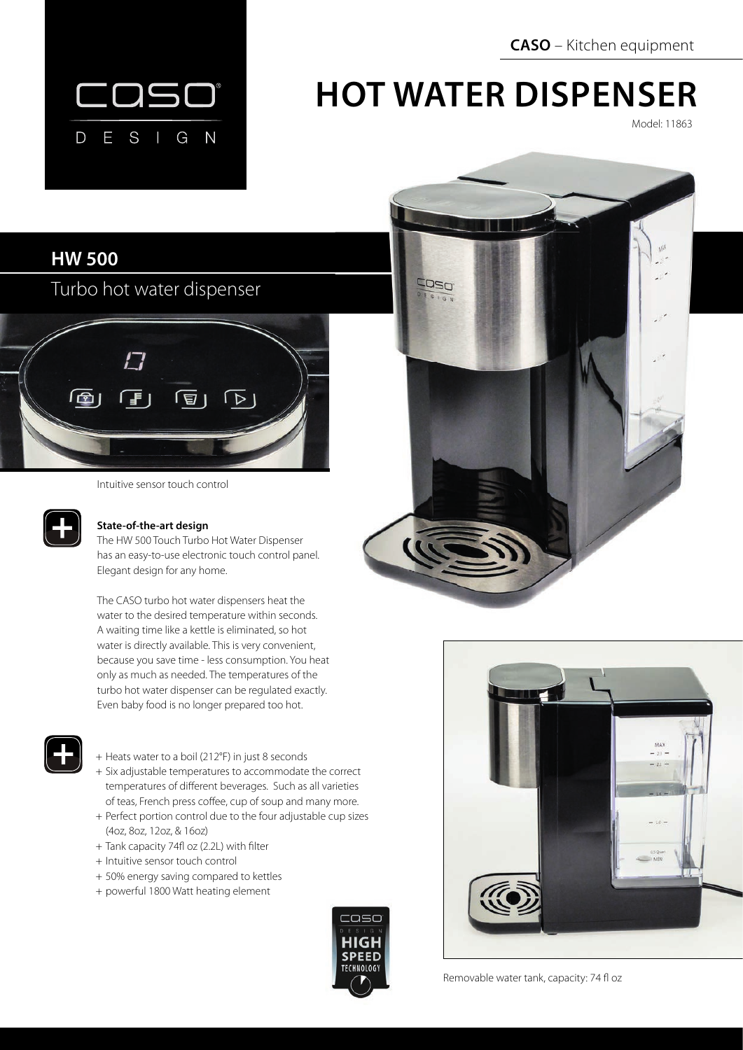**CASO** – Kitchen equipment



# **HOT WATER DISPENSER**

Model: 11863

# **HW 500**

Turbo hot water dispenser



Intuitive sensor touch control



## **State-of-the-art design**

The HW 500 Touch Turbo Hot Water Dispenser has an easy-to-use electronic touch control panel. Elegant design for any home.

The CASO turbo hot water dispensers heat the water to the desired temperature within seconds. A waiting time like a kettle is eliminated, so hot water is directly available. This is very convenient, because you save time - less consumption. You heat only as much as needed. The temperatures of the turbo hot water dispenser can be regulated exactly. Even baby food is no longer prepared too hot.



#### + Heats water to a boil (212°F) in just 8 seconds

- + Six adjustable temperatures to accommodate the correct temperatures of different beverages. Such as all varieties of teas, French press coffee, cup of soup and many more.
- + Perfect portion control due to the four adjustable cup sizes (4oz, 8oz, 12oz, & 16oz)
- + Tank capacity 74fl oz (2.2L) with filter
- + Intuitive sensor touch control
- + 50% energy saving compared to kettles
- + powerful 1800 Watt heating element







Removable water tank, capacity: 74 fl oz